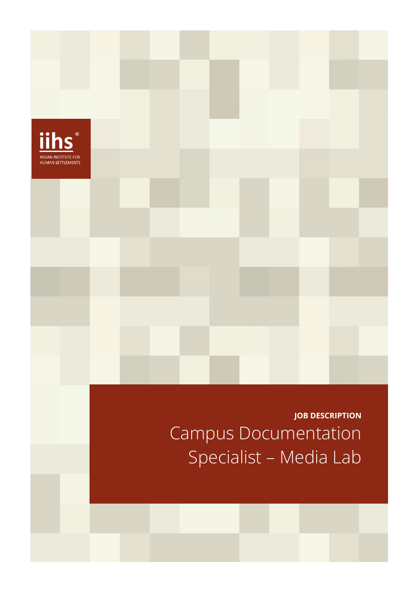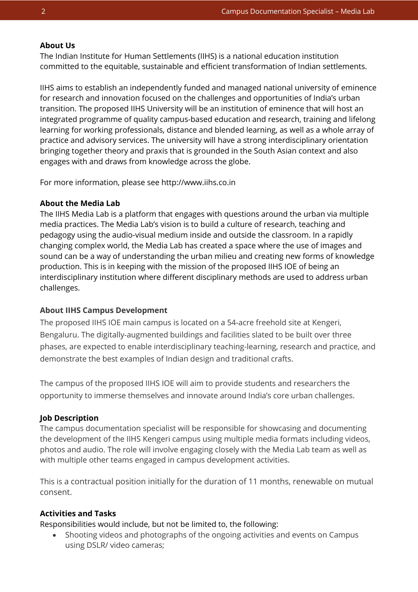### **About Us**

The Indian Institute for Human Settlements (IIHS) is a national education institution committed to the equitable, sustainable and efficient transformation of Indian settlements.

IIHS aims to establish an independently funded and managed national university of eminence for research and innovation focused on the challenges and opportunities of India's urban transition. The proposed IIHS University will be an institution of eminence that will host an integrated programme of quality campus-based education and research, training and lifelong learning for working professionals, distance and blended learning, as well as a whole array of practice and advisory services. The university will have a strong interdisciplinary orientation bringing together theory and praxis that is grounded in the South Asian context and also engages with and draws from knowledge across the globe.

For more information, please see http://www.iihs.co.in

#### **About the Media Lab**

The IIHS Media Lab is a platform that engages with questions around the urban via multiple media practices. The Media Lab's vision is to build a culture of research, teaching and pedagogy using the audio-visual medium inside and outside the classroom. In a rapidly changing complex world, the Media Lab has created a space where the use of images and sound can be a way of understanding the urban milieu and creating new forms of knowledge production. This is in keeping with the mission of the proposed IIHS IOE of being an interdisciplinary institution where different disciplinary methods are used to address urban challenges.

#### **About IIHS Campus Development**

The proposed IIHS IOE main campus is located on a 54-acre freehold site at Kengeri, Bengaluru. The digitally-augmented buildings and facilities slated to be built over three phases, are expected to enable interdisciplinary teaching-learning, research and practice, and demonstrate the best examples of Indian design and traditional crafts.

The campus of the proposed IIHS IOE will aim to provide students and researchers the opportunity to immerse themselves and innovate around India's core urban challenges.

#### **Job Description**

The campus documentation specialist will be responsible for showcasing and documenting the development of the IIHS Kengeri campus using multiple media formats including videos, photos and audio. The role will involve engaging closely with the Media Lab team as well as with multiple other teams engaged in campus development activities.

This is a contractual position initially for the duration of 11 months, renewable on mutual consent.

### **Activities and Tasks**

Responsibilities would include, but not be limited to, the following:

• Shooting videos and photographs of the ongoing activities and events on Campus using DSLR/ video cameras;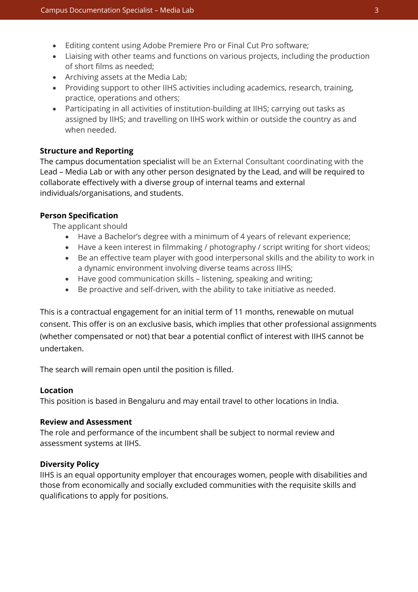- Editing content using Adobe Premiere Pro or Final Cut Pro software;
- Liaising with other teams and functions on various projects, including the production of short films as needed;
- Archiving assets at the Media Lab;
- Providing support to other IIHS activities including academics, research, training, practice, operations and others;
- Participating in all activities of institution-building at IIHS; carrying out tasks as assigned by IIHS; and travelling on IIHS work within or outside the country as and when needed.

## **Structure and Reporting**

The campus documentation specialist will be an External Consultant coordinating with the Lead – Media Lab or with any other person designated by the Lead, and will be required to collaborate effectively with a diverse group of internal teams and external individuals/organisations, and students.

### **Person Specification**

The applicant should

- Have a Bachelor's degree with a minimum of 4 years of relevant experience;
- Have a keen interest in filmmaking / photography / script writing for short videos;
- Be an effective team player with good interpersonal skills and the ability to work in a dynamic environment involving diverse teams across IIHS;
- Have good communication skills listening, speaking and writing;
- Be proactive and self-driven, with the ability to take initiative as needed.

This is a contractual engagement for an initial term of 11 months, renewable on mutual consent. This offer is on an exclusive basis, which implies that other professional assignments (whether compensated or not) that bear a potential conflict of interest with IIHS cannot be undertaken.

The search will remain open until the position is filled.

### **Location**

This position is based in Bengaluru and may entail travel to other locations in India.

### **Review and Assessment**

The role and performance of the incumbent shall be subject to normal review and assessment systems at IIHS.

### **Diversity Policy**

IIHS is an equal opportunity employer that encourages women, people with disabilities and those from economically and socially excluded communities with the requisite skills and qualifications to apply for positions.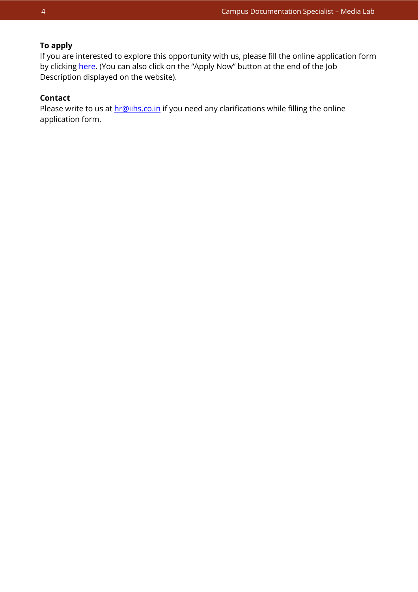# **To apply**

If you are interested to explore this opportunity with us, please fill the online application form by clicking [here.](https://iihs.co.in/job-application/) (You can also click on the "Apply Now" button at the end of the Job Description displayed on the website).

# **Contact**

Please write to us at **hr@iihs.co.in** if you need any clarifications while filling the online application form.